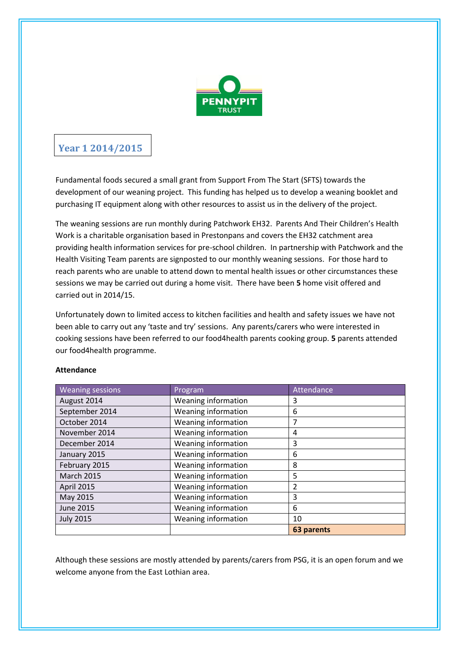

# **Year 1 2014/2015**

Fundamental foods secured a small grant from Support From The Start (SFTS) towards the development of our weaning project. This funding has helped us to develop a weaning booklet and purchasing IT equipment along with other resources to assist us in the delivery of the project.

The weaning sessions are run monthly during Patchwork EH32. Parents And Their Children's Health Work is a charitable organisation based in Prestonpans and covers the EH32 catchment area providing health information services for pre-school children. In partnership with Patchwork and the Health Visiting Team parents are signposted to our monthly weaning sessions. For those hard to reach parents who are unable to attend down to mental health issues or other circumstances these sessions we may be carried out during a home visit. There have been **5** home visit offered and carried out in 2014/15.

Unfortunately down to limited access to kitchen facilities and health and safety issues we have not been able to carry out any 'taste and try' sessions. Any parents/carers who were interested in cooking sessions have been referred to our food4health parents cooking group. **5** parents attended our food4health programme.

| <b>Weaning sessions</b> | Program             | Attendance |
|-------------------------|---------------------|------------|
| August 2014             | Weaning information | 3          |
| September 2014          | Weaning information | 6          |
| October 2014            | Weaning information | 7          |
| November 2014           | Weaning information | 4          |
| December 2014           | Weaning information | 3          |
| January 2015            | Weaning information | 6          |
| February 2015           | Weaning information | 8          |
| <b>March 2015</b>       | Weaning information | 5          |
| April 2015              | Weaning information | 2          |
| May 2015                | Weaning information | 3          |
| <b>June 2015</b>        | Weaning information | 6          |
| <b>July 2015</b>        | Weaning information | 10         |
|                         |                     | 63 parents |

### **Attendance**

Although these sessions are mostly attended by parents/carers from PSG, it is an open forum and we welcome anyone from the East Lothian area.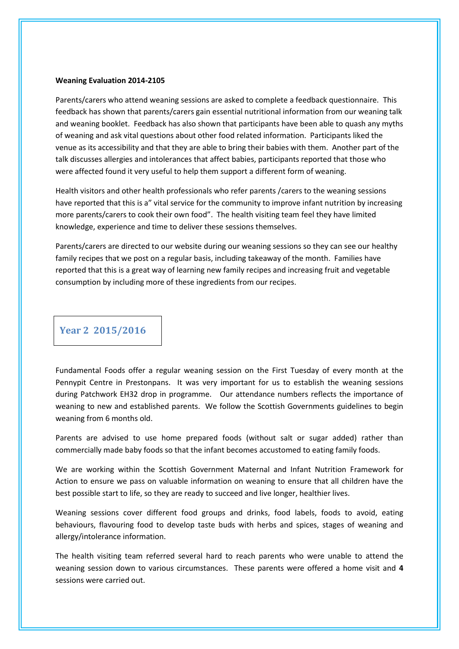#### **Weaning Evaluation 2014-2105**

Parents/carers who attend weaning sessions are asked to complete a feedback questionnaire. This feedback has shown that parents/carers gain essential nutritional information from our weaning talk and weaning booklet. Feedback has also shown that participants have been able to quash any myths of weaning and ask vital questions about other food related information. Participants liked the venue as its accessibility and that they are able to bring their babies with them. Another part of the talk discusses allergies and intolerances that affect babies, participants reported that those who were affected found it very useful to help them support a different form of weaning.

Health visitors and other health professionals who refer parents /carers to the weaning sessions have reported that this is a" vital service for the community to improve infant nutrition by increasing more parents/carers to cook their own food". The health visiting team feel they have limited knowledge, experience and time to deliver these sessions themselves.

Parents/carers are directed to our website during our weaning sessions so they can see our healthy family recipes that we post on a regular basis, including takeaway of the month. Families have reported that this is a great way of learning new family recipes and increasing fruit and vegetable consumption by including more of these ingredients from our recipes.

### **Year 2 2015/2016**

Fundamental Foods offer a regular weaning session on the First Tuesday of every month at the Pennypit Centre in Prestonpans. It was very important for us to establish the weaning sessions during Patchwork EH32 drop in programme. Our attendance numbers reflects the importance of weaning to new and established parents. We follow the Scottish Governments guidelines to begin weaning from 6 months old.

Parents are advised to use home prepared foods (without salt or sugar added) rather than commercially made baby foods so that the infant becomes accustomed to eating family foods.

We are working within the Scottish Government Maternal and Infant Nutrition Framework for Action to ensure we pass on valuable information on weaning to ensure that all children have the best possible start to life, so they are ready to succeed and live longer, healthier lives.

Weaning sessions cover different food groups and drinks, food labels, foods to avoid, eating behaviours, flavouring food to develop taste buds with herbs and spices, stages of weaning and allergy/intolerance information.

The health visiting team referred several hard to reach parents who were unable to attend the weaning session down to various circumstances. These parents were offered a home visit and **4** sessions were carried out.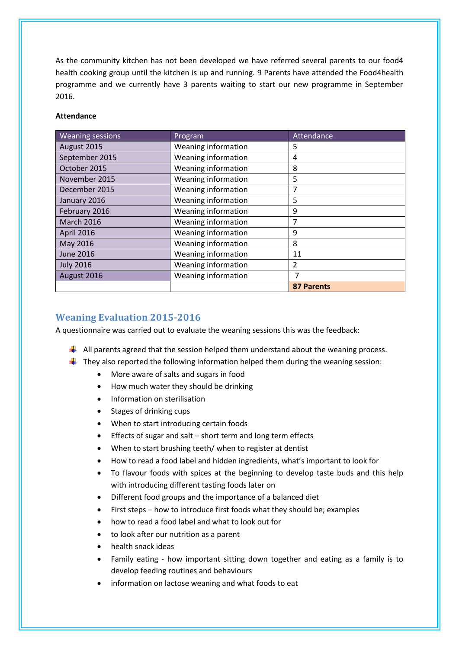As the community kitchen has not been developed we have referred several parents to our food4 health cooking group until the kitchen is up and running. 9 Parents have attended the Food4health programme and we currently have 3 parents waiting to start our new programme in September 2016.

### **Attendance**

| <b>Weaning sessions</b> | Program             | Attendance        |
|-------------------------|---------------------|-------------------|
| August 2015             | Weaning information | 5                 |
| September 2015          | Weaning information | 4                 |
| October 2015            | Weaning information | 8                 |
| November 2015           | Weaning information | 5                 |
| December 2015           | Weaning information | 7                 |
| January 2016            | Weaning information | 5                 |
| February 2016           | Weaning information | 9                 |
| <b>March 2016</b>       | Weaning information | 7                 |
| April 2016              | Weaning information | 9                 |
| May 2016                | Weaning information | 8                 |
| June 2016               | Weaning information | 11                |
| <b>July 2016</b>        | Weaning information | 2                 |
| August 2016             | Weaning information |                   |
|                         |                     | <b>87 Parents</b> |

## **Weaning Evaluation 2015-2016**

A questionnaire was carried out to evaluate the weaning sessions this was the feedback:

- $\downarrow$  All parents agreed that the session helped them understand about the weaning process.
- $\downarrow$  They also reported the following information helped them during the weaning session:
	- More aware of salts and sugars in food
	- How much water they should be drinking
	- Information on sterilisation
	- Stages of drinking cups
	- When to start introducing certain foods
	- Effects of sugar and salt short term and long term effects
	- When to start brushing teeth/ when to register at dentist
	- How to read a food label and hidden ingredients, what's important to look for
	- To flavour foods with spices at the beginning to develop taste buds and this help with introducing different tasting foods later on
	- Different food groups and the importance of a balanced diet
	- First steps how to introduce first foods what they should be; examples
	- how to read a food label and what to look out for
	- to look after our nutrition as a parent
	- health snack ideas
	- Family eating how important sitting down together and eating as a family is to develop feeding routines and behaviours
	- information on lactose weaning and what foods to eat